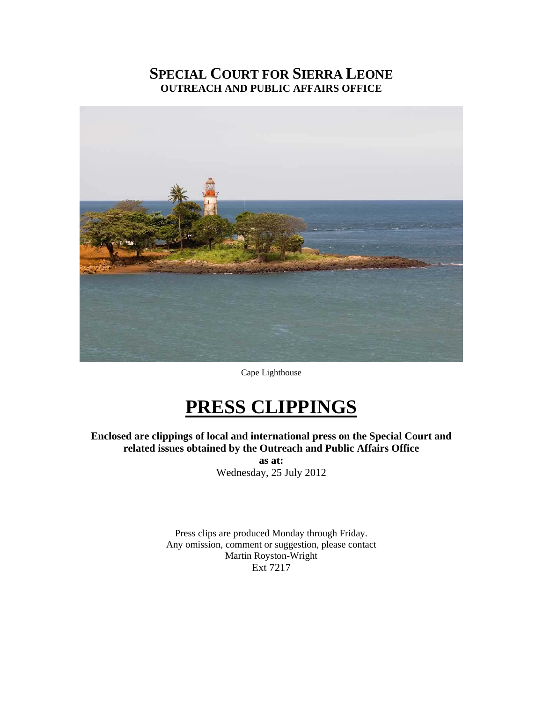# **SPECIAL COURT FOR SIERRA LEONE OUTREACH AND PUBLIC AFFAIRS OFFICE**



Cape Lighthouse

# **PRESS CLIPPINGS**

**Enclosed are clippings of local and international press on the Special Court and related issues obtained by the Outreach and Public Affairs Office as at:** 

Wednesday, 25 July 2012

Press clips are produced Monday through Friday. Any omission, comment or suggestion, please contact Martin Royston-Wright Ext 7217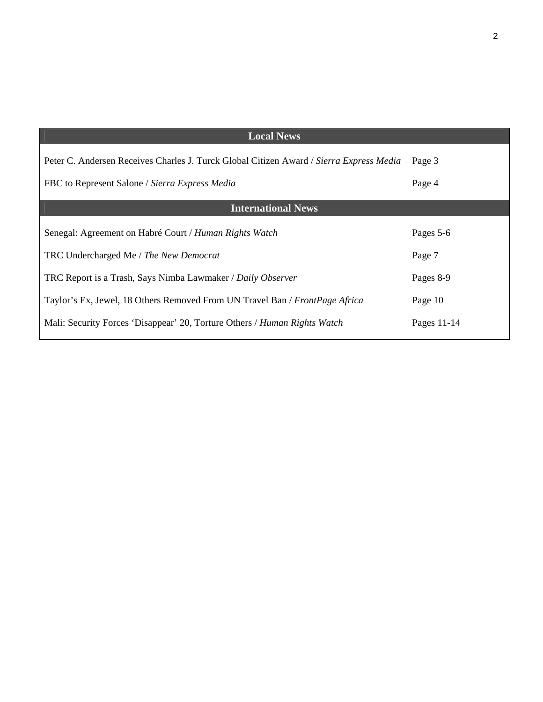| <b>Local News</b>                                                                       |             |
|-----------------------------------------------------------------------------------------|-------------|
| Peter C. Andersen Receives Charles J. Turck Global Citizen Award / Sierra Express Media | Page 3      |
| FBC to Represent Salone / Sierra Express Media                                          | Page 4      |
| <b>International News</b>                                                               |             |
| Senegal: Agreement on Habré Court / Human Rights Watch                                  | Pages 5-6   |
| TRC Undercharged Me / The New Democrat                                                  | Page 7      |
| TRC Report is a Trash, Says Nimba Lawmaker / Daily Observer                             | Pages 8-9   |
| Taylor's Ex, Jewel, 18 Others Removed From UN Travel Ban / FrontPage Africa             | Page 10     |
| Mali: Security Forces 'Disappear' 20, Torture Others / Human Rights Watch               | Pages 11-14 |
|                                                                                         |             |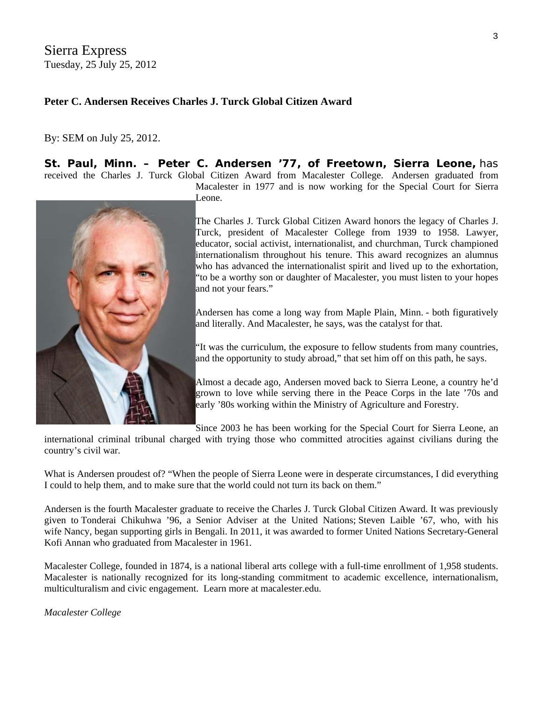Sierra Express Tuesday, 25 July 25, 2012

### **Peter C. Andersen Receives Charles J. Turck Global Citizen Award**

#### By: [SEM](http://www.sierraexpressmedia.com/archives/author/sierra-express-media) on July 25, 2012.

**St. Paul, Minn. – Peter C. Andersen '77, of Freetown, Sierra Leone,** has received the Charles J. Turck Global Citizen Award from Macalester College. Andersen graduated from



Leone.

The Charles J. Turck Global Citizen Award honors the legacy of Charles J. Turck, president of Macalester College from 1939 to 1958. Lawyer, educator, social activist, internationalist, and churchman, Turck championed [in](http://www.sierraexpressmedia.com/archives/45044)ternationalism throughout his tenure. This award recognizes an alumnus who has advanced the internationalist spirit and lived up to the exhortation, "to be a worthy son or daughter of Macalester, you must listen to your hopes and not your fears."

Macalester in 1977 and is now working for the Special Court for Sierra

Andersen has come a long way from Maple Plain, Minn. - both figuratively and literally. And Macalester, he says, was the catalyst for that.

"It was the curriculum, the exposure to fellow students from many countries, and the opportunity to study abroad," that set him off on this path, he says.

Almost a decade ago, Andersen moved back to Sierra Leone, a country he'd grown to love while serving there in the Peace Corps in the late '70s and early '80s working within the Ministry of Agriculture and Forestry.

Since 2003 he has been working for the Special Court for Sierra Leone, an

international criminal tribunal charged with trying those who committed atrocities against civilians during the country's civil war.

What is Andersen proudest of? "When the people of Sierra Leone were in desperate circumstances, I did everything I could to help them, and to make sure that the world could not turn its back on them."

Andersen is the fourth Macalester graduate to receive the Charles J. Turck Global Citizen Award. It was previously given to Tonderai Chikuhwa '96, a Senior Adviser at the United Nations; Steven Laible '67, who, with his wife Nancy, began supporting girls in Bengali. In 2011, it was awarded to former United Nations Secretary-General Kofi Annan who graduated from Macalester in 1961.

Macalester College, founded in 1874, is a national liberal arts college with a full-time enrollment of 1,958 students. Macalester is nationally recognized for its long-standing commitment to academic excellence, internationalism, multiculturalism and civic engagement. Learn more at [macalester.edu.](http://www.macalester.edu/)

*Macalester College*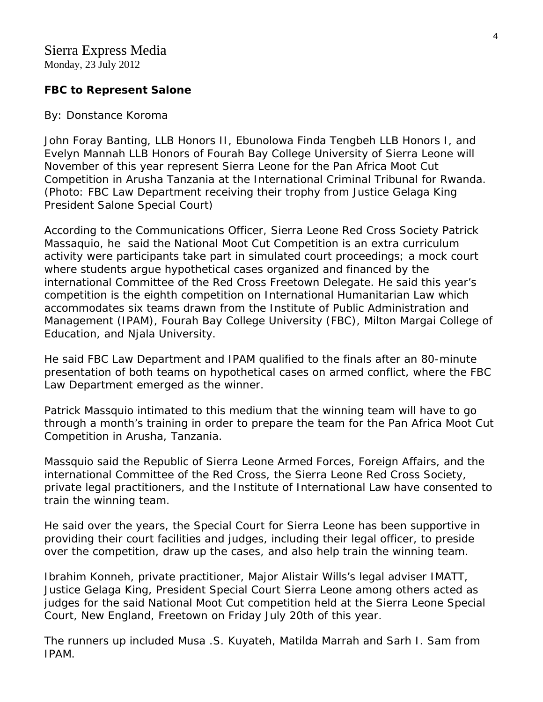Monday, 23 July 2012

# **FBC to Represent Salone**

### By: Donstance Koroma

John Foray Banting, LLB Honors II, Ebunolowa Finda Tengbeh LLB Honors I, and Evelyn Mannah LLB Honors of Fourah Bay College University of Sierra Leone will November of this year represent Sierra Leone for the Pan Africa Moot Cut Competition in Arusha Tanzania at the International Criminal Tribunal for Rwanda. (Photo: FBC Law Department receiving their trophy from Justice Gelaga King President Salone Special Court)

According to the Communications Officer, Sierra Leone Red Cross Society Patrick Massaquio, he said the National Moot Cut Competition is an extra curriculum activity were participants take part in simulated court proceedings; a mock court where students argue hypothetical cases organized and financed by the international Committee of the Red Cross Freetown Delegate. He said this year's competition is the eighth competition on International Humanitarian Law which accommodates six teams drawn from the Institute of Public Administration and Management (IPAM), Fourah Bay College University (FBC), Milton Margai College of Education, and Njala University.

He said FBC Law Department and IPAM qualified to the finals after an 80-minute presentation of both teams on hypothetical cases on armed conflict, where the FBC Law Department emerged as the winner.

Patrick Massquio intimated to this medium that the winning team will have to go through a month's training in order to prepare the team for the Pan Africa Moot Cut Competition in Arusha, Tanzania.

Massquio said the Republic of Sierra Leone Armed Forces, Foreign Affairs, and the international Committee of the Red Cross, the Sierra Leone Red Cross Society, private legal practitioners, and the Institute of International Law have consented to train the winning team.

He said over the years, the Special Court for Sierra Leone has been supportive in providing their court facilities and judges, including their legal officer, to preside over the competition, draw up the cases, and also help train the winning team.

Ibrahim Konneh, private practitioner, Major Alistair Wills's legal adviser IMATT, Justice Gelaga King, President Special Court Sierra Leone among others acted as judges for the said National Moot Cut competition held at the Sierra Leone Special Court, New England, Freetown on Friday July 20th of this year.

The runners up included Musa .S. Kuyateh, Matilda Marrah and Sarh I. Sam from IPAM.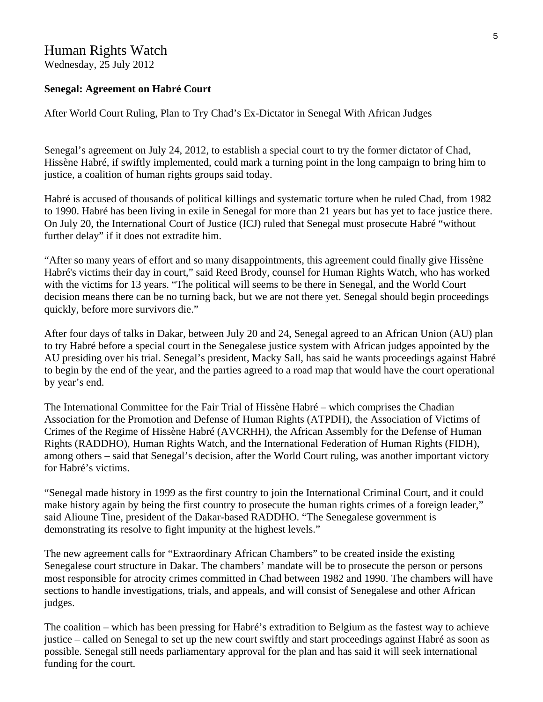## Human Rights Watch

Wednesday, 25 July 2012

#### **Senegal: Agreement on Habré Court**

After World Court Ruling, Plan to Try Chad's Ex-Dictator in Senegal With African Judges

Senegal's agreement on July 24, 2012, to establish a special court to try the former dictator of Chad, Hissène Habré, if swiftly implemented, could mark a turning point in the long campaign to bring him to justice, a coalition of human rights groups said today.

Habré is accused of thousands of political killings and systematic torture when he ruled Chad, from 1982 to 1990. Habré has been living in exile in Senegal for more than 21 years but has yet to face justice there. On July 20, the International Court of Justice (ICJ) ruled that Senegal must prosecute Habré "without further delay" if it does not extradite him.

"After so many years of effort and so many disappointments, this agreement could finally give Hissène Habré's victims their day in court," said Reed Brody, counsel for Human Rights Watch, who has worked with the victims for 13 years. "The political will seems to be there in Senegal, and the World Court decision means there can be no turning back, but we are not there yet. Senegal should begin proceedings quickly, before more survivors die."

After four days of talks in Dakar, between July 20 and 24, Senegal agreed to an African Union (AU) plan to try Habré before a special court in the Senegalese justice system with African judges appointed by the AU presiding over his trial. Senegal's president, Macky Sall, has said he wants proceedings against Habré to begin by the end of the year, and the parties agreed to a road map that would have the court operational by year's end.

The International Committee for the Fair Trial of Hissène Habré – which comprises the Chadian Association for the Promotion and Defense of Human Rights (ATPDH), the Association of Victims of Crimes of the Regime of Hissène Habré (AVCRHH), the African Assembly for the Defense of Human Rights (RADDHO), Human Rights Watch, and the International Federation of Human Rights (FIDH), among others – said that Senegal's decision, after the World Court ruling, was another important victory for Habré's victims.

"Senegal made history in 1999 as the first country to join the International Criminal Court, and it could make history again by being the first country to prosecute the human rights crimes of a foreign leader," said Alioune Tine, president of the Dakar-based RADDHO. "The Senegalese government is demonstrating its resolve to fight impunity at the highest levels."

The new agreement calls for "Extraordinary African Chambers" to be created inside the existing Senegalese court structure in Dakar. The chambers' mandate will be to prosecute the person or persons most responsible for atrocity crimes committed in Chad between 1982 and 1990. The chambers will have sections to handle investigations, trials, and appeals, and will consist of Senegalese and other African judges.

The coalition – which has been pressing for Habré's extradition to Belgium as the fastest way to achieve justice – called on Senegal to set up the new court swiftly and start proceedings against Habré as soon as possible. Senegal still needs parliamentary approval for the plan and has said it will seek international funding for the court.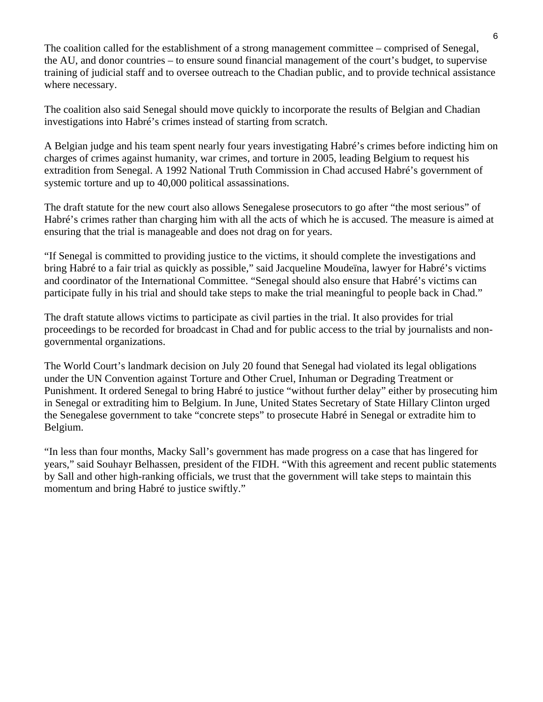The coalition called for the establishment of a strong management committee – comprised of Senegal, the AU, and donor countries – to ensure sound financial management of the court's budget, to supervise training of judicial staff and to oversee outreach to the Chadian public, and to provide technical assistance where necessary.

The coalition also said Senegal should move quickly to incorporate the results of Belgian and Chadian investigations into Habré's crimes instead of starting from scratch.

A Belgian judge and his team spent nearly four years investigating Habré's crimes before indicting him on charges of crimes against humanity, war crimes, and torture in 2005, leading Belgium to request his extradition from Senegal. A 1992 National Truth Commission in Chad accused Habré's government of systemic torture and up to 40,000 political assassinations.

The draft statute for the new court also allows Senegalese prosecutors to go after "the most serious" of Habré's crimes rather than charging him with all the acts of which he is accused. The measure is aimed at ensuring that the trial is manageable and does not drag on for years.

"If Senegal is committed to providing justice to the victims, it should complete the investigations and bring Habré to a fair trial as quickly as possible," said Jacqueline Moudeïna, lawyer for Habré's victims and coordinator of the International Committee. "Senegal should also ensure that Habré's victims can participate fully in his trial and should take steps to make the trial meaningful to people back in Chad."

The draft statute allows victims to participate as civil parties in the trial. It also provides for trial proceedings to be recorded for broadcast in Chad and for public access to the trial by journalists and nongovernmental organizations.

The World Court's landmark decision on July 20 found that Senegal had violated its legal obligations under the UN Convention against Torture and Other Cruel, Inhuman or Degrading Treatment or Punishment. It ordered Senegal to bring Habré to justice "without further delay" either by prosecuting him in Senegal or extraditing him to Belgium. In June, United States Secretary of State Hillary Clinton urged the Senegalese government to take "concrete steps" to prosecute Habré in Senegal or extradite him to Belgium.

"In less than four months, Macky Sall's government has made progress on a case that has lingered for years," said Souhayr Belhassen, president of the FIDH. "With this agreement and recent public statements by Sall and other high-ranking officials, we trust that the government will take steps to maintain this momentum and bring Habré to justice swiftly."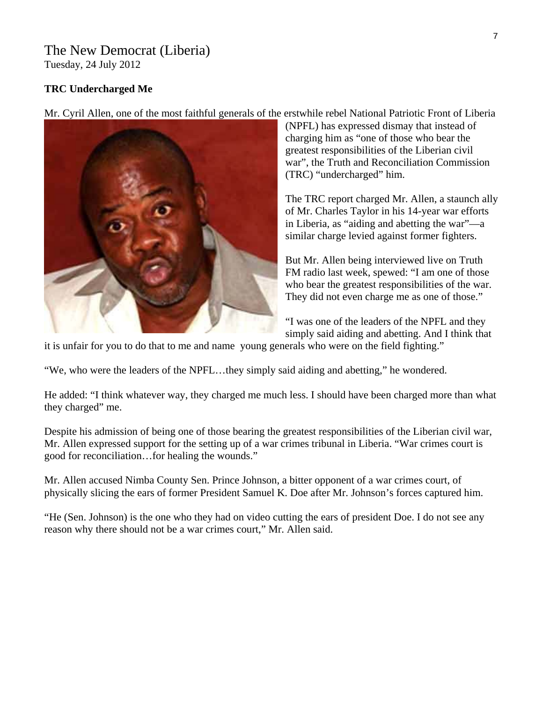### The New Democrat (Liberia) Tuesday, 24 July 2012

### **TRC Undercharged Me**

Mr. Cyril Allen, one of the most faithful generals of the erstwhile rebel National Patriotic Front of Liberia (NPFL) has expressed dismay that instead of charging him as "one of those who bear the greatest responsibilities of the Liberian civil war", the Truth and Reconciliation Commission (TRC) "undercharged" him.

> The TRC report charged Mr. Allen, a staunch a lly of Mr. Charles Taylor in his 14-year war effort s in Liberia, as "aiding and abetting the war"—a similar charge levied against former fighters.

But Mr. Allen being interviewed live on Truth FM radio last week, spewed: "I am one of those who bear the greatest responsibilities of the war. They did not even charge me as one of those."

"I was one of the leaders of the NPFL and they simply said aiding and abetting. And I think that

it is unfair for you to do that to me and name young generals who were on the field fighting."

We, who were the leaders of the NPFL…they simply said aiding and abetting," he wondered. "

He added: "I think whatever way, they charged me much less. I should have been charged more than what they charged" me.

Despite his admission of being one of those bearing the greatest responsibilities of the Liberian civil war, Mr. Allen expressed support for the setting up of a war crimes tribunal in Liberia. "War crimes court is good for reconciliation…for healing the wounds."

Mr. Allen accused Nimba County Sen. Prince Johnson, a bitter opponent of a war crimes court, of physically slicing the ears of former President Samuel K. Doe after Mr. Johnson's forces captured him.

"He (Sen. Johnson) is the one who they had on video cutting the ears of president Doe. I do not see any reason why there should not be a war crimes court," Mr. Allen said.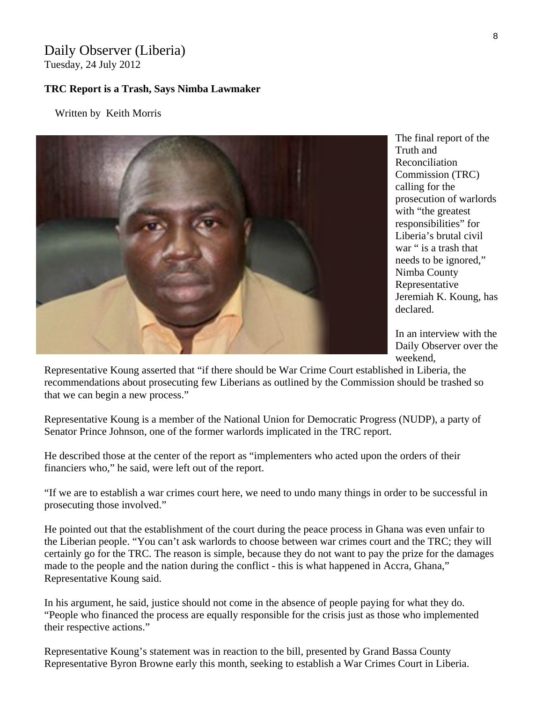# Daily Observer (Liberia)

Tuesday, 24 July 2012

### **TRC Report is a Trash, Says Nimba Lawmaker**

Written by Keith Morris



The final report of the Truth and Reconciliation Commission (TRC) calling for the prosecution of warlords with "the greatest" responsibilities" for Liberia's brutal civil war " is a trash that needs to be ignored," Nimba County Representative Jeremiah K. Koung, h as declared.

Daily Observer over the In an interview with the weekend,

Representative Koung asserted that "if there should be War Crime Court established in Liberia, the recommendations about prosecuting few Liberians as outlined by the Commission should be trashed so that we can begin a new process."

Representative Koung is a member of the National Union for Democratic Progress (NUDP), a party of Senator Prince Johnson, one of the former warlords implicated in the TRC report.

He described those at the center of the report as "implementers who acted upon the orders of their financiers who," he said, were left out of the report.

"If we are to establish a war crimes court here, we need to undo many things in order to be successful in prosecuting those involved."

He pointed out that the establishment of the court during the peace process in Ghana was even unfair to the Liberian people. "You can't ask warlords to choose between war crimes court and the TRC; they will certainly go for the TRC. The reason is simple, because they do not want to pay the prize for the damages made to the people and the nation during the conflict - this is what happened in Accra, Ghana," Representative Koung said.

In his argument, he said, justice should not come in the absence of people paying for what they do. "People who financed the process are equally responsible for the crisis just as those who implemented their respective actions."

Representative Koung's statement was in reaction to the bill, presented by Grand Bassa County Representative Byron Browne early this month, seeking to establish a War Crimes Court in Liberia.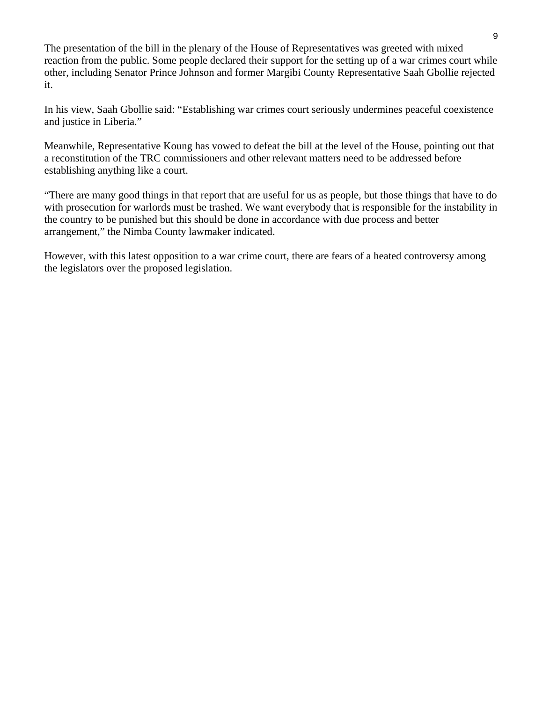The presentation of the bill in the plenary of the House of Representatives was greeted with mixed reaction from the public. Some people declared their support for the setting up of a war crimes court while other, including Senator Prince Johnson and former Margibi County Representative Saah Gbollie rejected it.

In his view, Saah Gbollie said: "Establishing war crimes court seriously undermines peaceful coexistence and justice in Liberia."

Meanwhile, Representative Koung has vowed to defeat the bill at the level of the House, pointing out that a reconstitution of the TRC commissioners and other relevant matters need to be addressed before establishing anything like a court.

"There are many good things in that report that are useful for us as people, but those things that have to do with prosecution for warlords must be trashed. We want everybody that is responsible for the instability in the country to be punished but this should be done in accordance with due process and better arrangement," the Nimba County lawmaker indicated.

However, with this latest opposition to a war crime court, there are fears of a heated controversy among the legislators over the proposed legislation.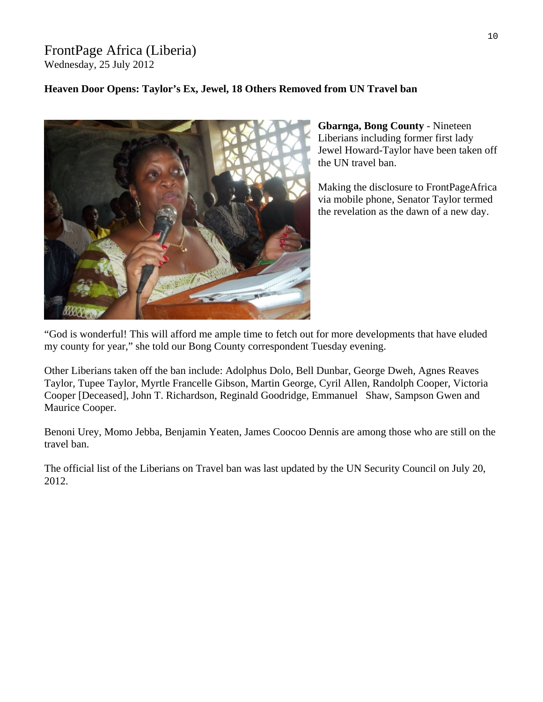### FrontPage Africa (Liberia) Wednesday, 25 July 2012

### **Heaven Door Opens: Taylor's Ex, Jewel, 18 Others Removed from UN Travel ban**



Jewel Howard-Taylor have been taken off **Gbarnga, Bong County** - Nineteen Liberians including former first lady the UN travel ban.

Making the disclosure to FrontPageAfrica via mobile phone, Senator Taylor termed the revelation as the dawn of a new day.

God is wonderful! This will afford me ample time to fetch out for more developments that have eluded " my county for year," she told our Bong County correspondent Tuesday evening.

Other Liberians taken off the ban include: Adolphus Dolo, Bell Dunbar, George Dweh, Agnes Reaves Taylor, Tupee Taylor, Myrtle Francelle Gibson, Martin George, Cyril Allen, Randolph Cooper, Victoria Cooper [Deceased], John T. Richardson, Reginald Goodridge, Emmanuel Shaw, Sampson Gwen and Maurice Cooper.

Benoni Urey, Momo Jebba, Benjamin Yeaten, James Coocoo Dennis are among those who are still on the travel ban.

The official list of the Liberians on Travel ban was last updated by the UN Security Council on July 20, 2012.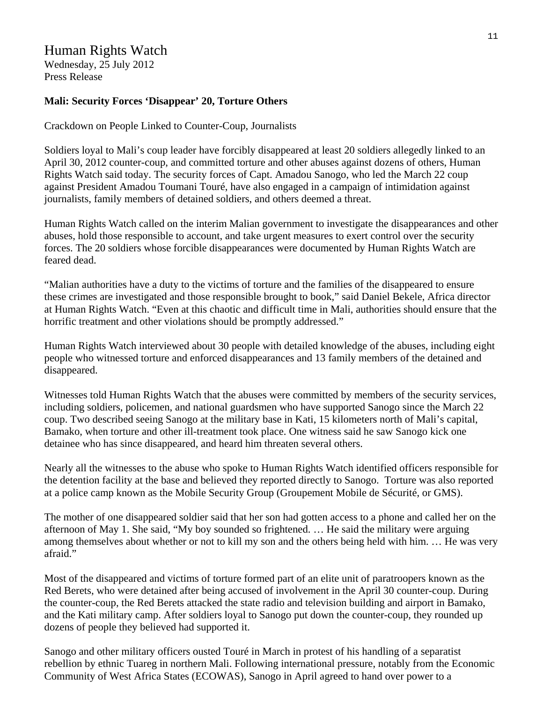# Human Rights Watch

Wednesday, 25 July 2012 Press Release

### **Mali: Security Forces 'Disappear' 20, Torture Others**

Crackdown on People Linked to Counter-Coup, Journalists

Soldiers loyal to Mali's coup leader have forcibly disappeared at least 20 soldiers allegedly linked to an April 30, 2012 counter-coup, and committed torture and other abuses against dozens of others, Human Rights Watch said today. The security forces of Capt. Amadou Sanogo, who led the March 22 coup against President Amadou Toumani Touré, have also engaged in a campaign of intimidation against journalists, family members of detained soldiers, and others deemed a threat.

Human Rights Watch called on the interim Malian government to investigate the disappearances and other abuses, hold those responsible to account, and take urgent measures to exert control over the security forces. The 20 soldiers whose forcible disappearances were documented by Human Rights Watch are feared dead.

"Malian authorities have a duty to the victims of torture and the families of the disappeared to ensure these crimes are investigated and those responsible brought to book," said Daniel Bekele, Africa director at Human Rights Watch. "Even at this chaotic and difficult time in Mali, authorities should ensure that the horrific treatment and other violations should be promptly addressed."

Human Rights Watch interviewed about 30 people with detailed knowledge of the abuses, including eight people who witnessed torture and enforced disappearances and 13 family members of the detained and disappeared.

Witnesses told Human Rights Watch that the abuses were committed by members of the security services, including soldiers, policemen, and national guardsmen who have supported Sanogo since the March 22 coup. Two described seeing Sanogo at the military base in Kati, 15 kilometers north of Mali's capital, Bamako, when torture and other ill-treatment took place. One witness said he saw Sanogo kick one detainee who has since disappeared, and heard him threaten several others.

Nearly all the witnesses to the abuse who spoke to Human Rights Watch identified officers responsible for the detention facility at the base and believed they reported directly to Sanogo. Torture was also reported at a police camp known as the Mobile Security Group (Groupement Mobile de Sécurité, or GMS).

The mother of one disappeared soldier said that her son had gotten access to a phone and called her on the afternoon of May 1. She said, "My boy sounded so frightened. … He said the military were arguing among themselves about whether or not to kill my son and the others being held with him. … He was very afraid."

Most of the disappeared and victims of torture formed part of an elite unit of paratroopers known as the Red Berets, who were detained after being accused of involvement in the April 30 counter-coup. During the counter-coup, the Red Berets attacked the state radio and television building and airport in Bamako, and the Kati military camp. After soldiers loyal to Sanogo put down the counter-coup, they rounded up dozens of people they believed had supported it.

Sanogo and other military officers ousted Touré in March in protest of his handling of a separatist rebellion by ethnic Tuareg in northern Mali. Following international pressure, notably from the Economic Community of West Africa States (ECOWAS), Sanogo in April agreed to hand over power to a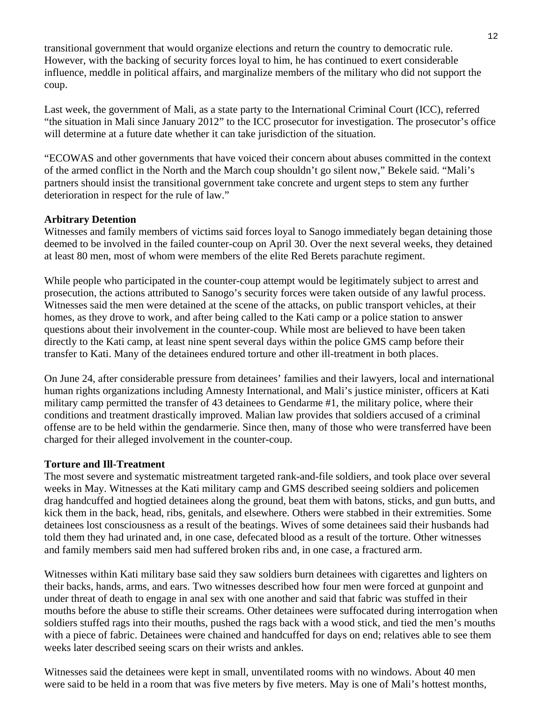transitional government that would organize elections and return the country to democratic rule. However, with the backing of security forces loyal to him, he has continued to exert considerable influence, meddle in political affairs, and marginalize members of the military who did not support the coup.

Last week, the government of Mali, as a state party to the International Criminal Court (ICC), referred "the situation in Mali since January 2012" to the ICC prosecutor for investigation. The prosecutor's office will determine at a future date whether it can take jurisdiction of the situation.

"ECOWAS and other governments that have voiced their concern about abuses committed in the context of the armed conflict in the North and the March coup shouldn't go silent now," Bekele said. "Mali's partners should insist the transitional government take concrete and urgent steps to stem any further deterioration in respect for the rule of law."

### **Arbitrary Detention**

Witnesses and family members of victims said forces loyal to Sanogo immediately began detaining those deemed to be involved in the failed counter-coup on April 30. Over the next several weeks, they detained at least 80 men, most of whom were members of the elite Red Berets parachute regiment.

While people who participated in the counter-coup attempt would be legitimately subject to arrest and prosecution, the actions attributed to Sanogo's security forces were taken outside of any lawful process. Witnesses said the men were detained at the scene of the attacks, on public transport vehicles, at their homes, as they drove to work, and after being called to the Kati camp or a police station to answer questions about their involvement in the counter-coup. While most are believed to have been taken directly to the Kati camp, at least nine spent several days within the police GMS camp before their transfer to Kati. Many of the detainees endured torture and other ill-treatment in both places.

On June 24, after considerable pressure from detainees' families and their lawyers, local and international human rights organizations including Amnesty International, and Mali's justice minister, officers at Kati military camp permitted the transfer of 43 detainees to Gendarme #1, the military police, where their conditions and treatment drastically improved. Malian law provides that soldiers accused of a criminal offense are to be held within the gendarmerie. Since then, many of those who were transferred have been charged for their alleged involvement in the counter-coup.

### **Torture and Ill-Treatment**

The most severe and systematic mistreatment targeted rank-and-file soldiers, and took place over several weeks in May. Witnesses at the Kati military camp and GMS described seeing soldiers and policemen drag handcuffed and hogtied detainees along the ground, beat them with batons, sticks, and gun butts, and kick them in the back, head, ribs, genitals, and elsewhere. Others were stabbed in their extremities. Some detainees lost consciousness as a result of the beatings. Wives of some detainees said their husbands had told them they had urinated and, in one case, defecated blood as a result of the torture. Other witnesses and family members said men had suffered broken ribs and, in one case, a fractured arm.

Witnesses within Kati military base said they saw soldiers burn detainees with cigarettes and lighters on their backs, hands, arms, and ears. Two witnesses described how four men were forced at gunpoint and under threat of death to engage in anal sex with one another and said that fabric was stuffed in their mouths before the abuse to stifle their screams. Other detainees were suffocated during interrogation when soldiers stuffed rags into their mouths, pushed the rags back with a wood stick, and tied the men's mouths with a piece of fabric. Detainees were chained and handcuffed for days on end; relatives able to see them weeks later described seeing scars on their wrists and ankles.

Witnesses said the detainees were kept in small, unventilated rooms with no windows. About 40 men were said to be held in a room that was five meters by five meters. May is one of Mali's hottest months,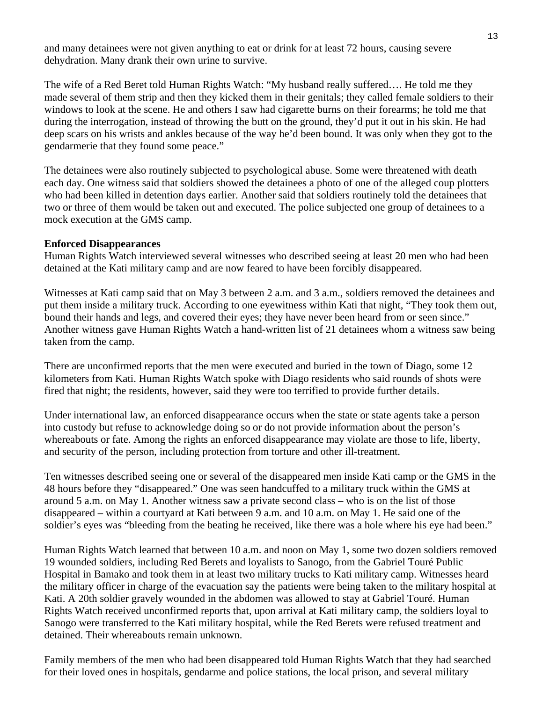and many detainees were not given anything to eat or drink for at least 72 hours, causing severe dehydration. Many drank their own urine to survive.

The wife of a Red Beret told Human Rights Watch: "My husband really suffered…. He told me they made several of them strip and then they kicked them in their genitals; they called female soldiers to their windows to look at the scene. He and others I saw had cigarette burns on their forearms; he told me that during the interrogation, instead of throwing the butt on the ground, they'd put it out in his skin. He had deep scars on his wrists and ankles because of the way he'd been bound. It was only when they got to the gendarmerie that they found some peace."

The detainees were also routinely subjected to psychological abuse. Some were threatened with death each day. One witness said that soldiers showed the detainees a photo of one of the alleged coup plotters who had been killed in detention days earlier. Another said that soldiers routinely told the detainees that two or three of them would be taken out and executed. The police subjected one group of detainees to a mock execution at the GMS camp.

### **Enforced Disappearances**

Human Rights Watch interviewed several witnesses who described seeing at least 20 men who had been detained at the Kati military camp and are now feared to have been forcibly disappeared.

Witnesses at Kati camp said that on May 3 between 2 a.m. and 3 a.m., soldiers removed the detainees and put them inside a military truck. According to one eyewitness within Kati that night, "They took them out, bound their hands and legs, and covered their eyes; they have never been heard from or seen since." Another witness gave Human Rights Watch a hand-written list of 21 detainees whom a witness saw being taken from the camp.

There are unconfirmed reports that the men were executed and buried in the town of Diago, some 12 kilometers from Kati. Human Rights Watch spoke with Diago residents who said rounds of shots were fired that night; the residents, however, said they were too terrified to provide further details.

Under international law, an enforced disappearance occurs when the state or state agents take a person into custody but refuse to acknowledge doing so or do not provide information about the person's whereabouts or fate. Among the rights an enforced disappearance may violate are those to life, liberty, and security of the person, including protection from torture and other ill-treatment.

Ten witnesses described seeing one or several of the disappeared men inside Kati camp or the GMS in the 48 hours before they "disappeared." One was seen handcuffed to a military truck within the GMS at around 5 a.m. on May 1. Another witness saw a private second class – who is on the list of those disappeared – within a courtyard at Kati between 9 a.m. and 10 a.m. on May 1. He said one of the soldier's eyes was "bleeding from the beating he received, like there was a hole where his eye had been."

Human Rights Watch learned that between 10 a.m. and noon on May 1, some two dozen soldiers removed 19 wounded soldiers, including Red Berets and loyalists to Sanogo, from the Gabriel Touré Public Hospital in Bamako and took them in at least two military trucks to Kati military camp. Witnesses heard the military officer in charge of the evacuation say the patients were being taken to the military hospital at Kati. A 20th soldier gravely wounded in the abdomen was allowed to stay at Gabriel Touré. Human Rights Watch received unconfirmed reports that, upon arrival at Kati military camp, the soldiers loyal to Sanogo were transferred to the Kati military hospital, while the Red Berets were refused treatment and detained. Their whereabouts remain unknown.

Family members of the men who had been disappeared told Human Rights Watch that they had searched for their loved ones in hospitals, gendarme and police stations, the local prison, and several military